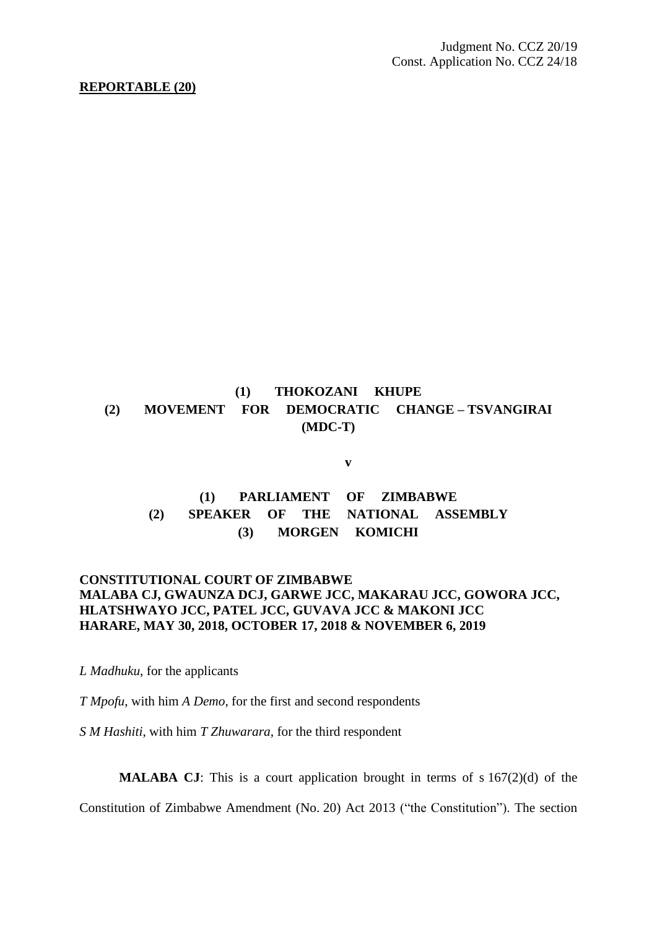#### **REPORTABLE (20)**

# **(1) THOKOZANI KHUPE (2) MOVEMENT FOR DEMOCRATIC CHANGE – TSVANGIRAI (MDC-T)**

**v**

## **(1) PARLIAMENT OF ZIMBABWE (2) SPEAKER OF THE NATIONAL ASSEMBLY (3) MORGEN KOMICHI**

### **CONSTITUTIONAL COURT OF ZIMBABWE MALABA CJ, GWAUNZA DCJ, GARWE JCC, MAKARAU JCC, GOWORA JCC, HLATSHWAYO JCC, PATEL JCC, GUVAVA JCC & MAKONI JCC HARARE, MAY 30, 2018, OCTOBER 17, 2018 & NOVEMBER 6, 2019**

*L Madhuku*, for the applicants

*T Mpofu*, with him *A Demo*, for the first and second respondents

*S M Hashiti*, with him *T Zhuwarara*, for the third respondent

**MALABA CJ**: This is a court application brought in terms of s 167(2)(d) of the

Constitution of Zimbabwe Amendment (No. 20) Act 2013 ("the Constitution"). The section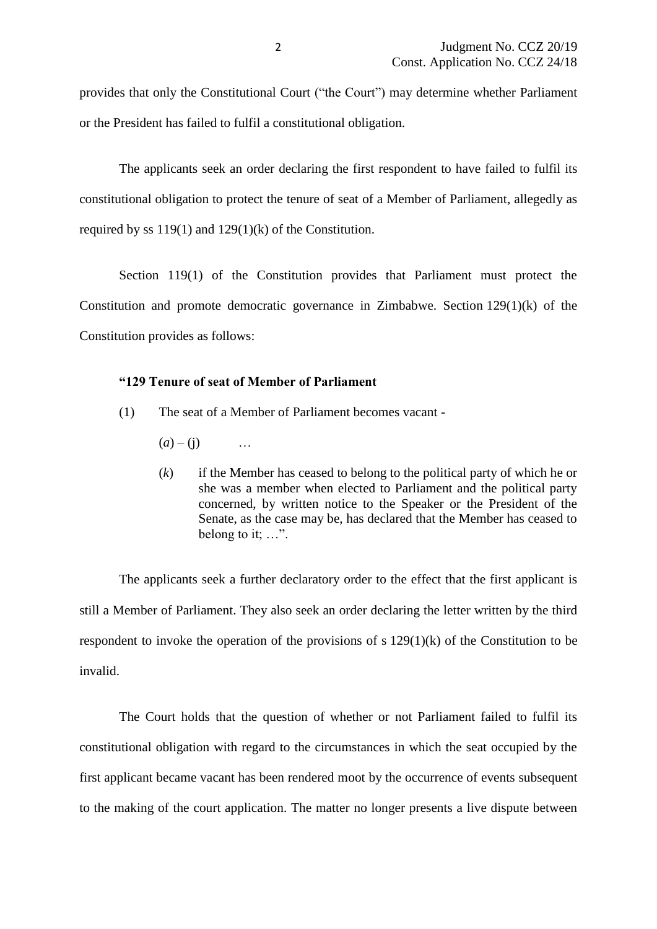provides that only the Constitutional Court ("the Court") may determine whether Parliament or the President has failed to fulfil a constitutional obligation.

The applicants seek an order declaring the first respondent to have failed to fulfil its constitutional obligation to protect the tenure of seat of a Member of Parliament, allegedly as required by ss  $119(1)$  and  $129(1)(k)$  of the Constitution.

Section 119(1) of the Constitution provides that Parliament must protect the Constitution and promote democratic governance in Zimbabwe. Section 129(1)(k) of the Constitution provides as follows:

### **"129 Tenure of seat of Member of Parliament**

- (1) The seat of a Member of Parliament becomes vacant
	- $(a) (i)$
	- (*k*) if the Member has ceased to belong to the political party of which he or she was a member when elected to Parliament and the political party concerned, by written notice to the Speaker or the President of the Senate, as the case may be, has declared that the Member has ceased to belong to it; …".

The applicants seek a further declaratory order to the effect that the first applicant is still a Member of Parliament. They also seek an order declaring the letter written by the third respondent to invoke the operation of the provisions of s 129(1)(k) of the Constitution to be invalid.

The Court holds that the question of whether or not Parliament failed to fulfil its constitutional obligation with regard to the circumstances in which the seat occupied by the first applicant became vacant has been rendered moot by the occurrence of events subsequent to the making of the court application. The matter no longer presents a live dispute between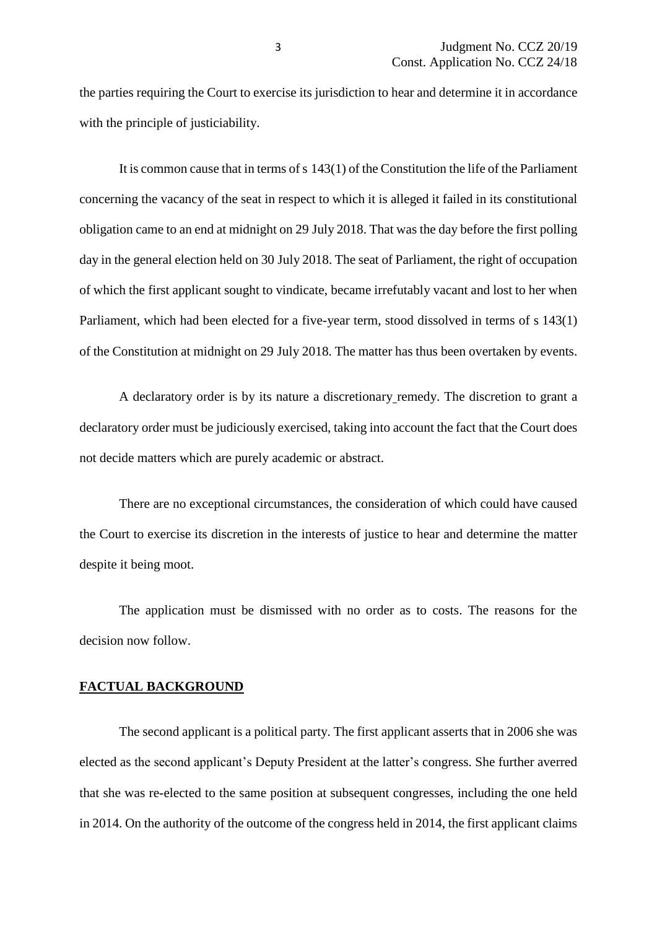the parties requiring the Court to exercise its jurisdiction to hear and determine it in accordance with the principle of justiciability.

It is common cause that in terms of s 143(1) of the Constitution the life of the Parliament concerning the vacancy of the seat in respect to which it is alleged it failed in its constitutional obligation came to an end at midnight on 29 July 2018. That was the day before the first polling day in the general election held on 30 July 2018. The seat of Parliament, the right of occupation of which the first applicant sought to vindicate, became irrefutably vacant and lost to her when Parliament, which had been elected for a five-year term, stood dissolved in terms of s 143(1) of the Constitution at midnight on 29 July 2018. The matter has thus been overtaken by events.

A declaratory order is by its nature a discretionary remedy. The discretion to grant a declaratory order must be judiciously exercised, taking into account the fact that the Court does not decide matters which are purely academic or abstract.

There are no exceptional circumstances, the consideration of which could have caused the Court to exercise its discretion in the interests of justice to hear and determine the matter despite it being moot.

The application must be dismissed with no order as to costs. The reasons for the decision now follow.

#### **FACTUAL BACKGROUND**

The second applicant is a political party. The first applicant asserts that in 2006 she was elected as the second applicant's Deputy President at the latter's congress. She further averred that she was re-elected to the same position at subsequent congresses, including the one held in 2014. On the authority of the outcome of the congress held in 2014, the first applicant claims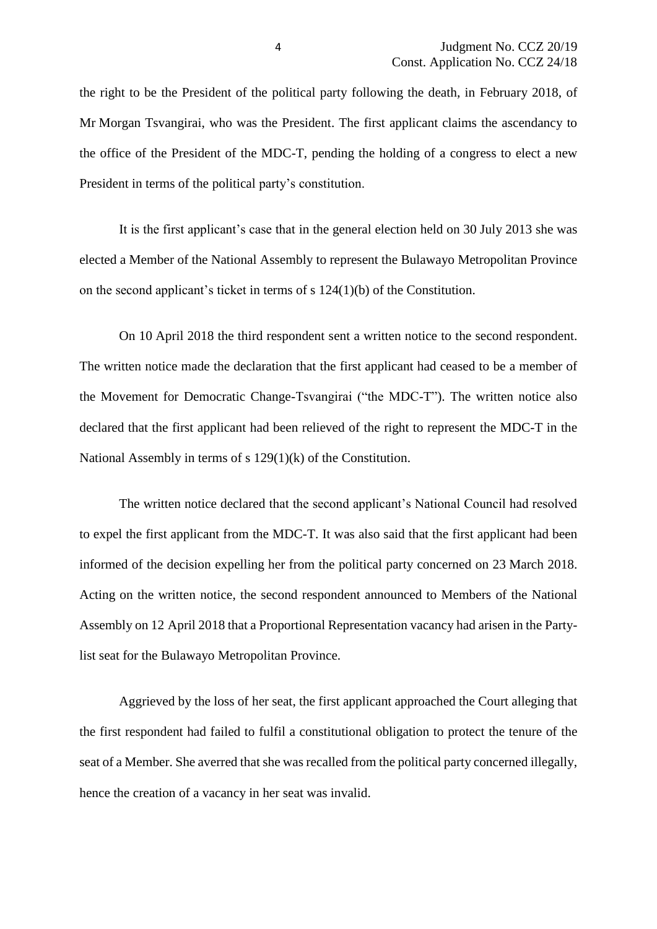the right to be the President of the political party following the death, in February 2018, of Mr Morgan Tsvangirai, who was the President. The first applicant claims the ascendancy to the office of the President of the MDC-T, pending the holding of a congress to elect a new President in terms of the political party's constitution.

It is the first applicant's case that in the general election held on 30 July 2013 she was elected a Member of the National Assembly to represent the Bulawayo Metropolitan Province on the second applicant's ticket in terms of s 124(1)(b) of the Constitution.

On 10 April 2018 the third respondent sent a written notice to the second respondent. The written notice made the declaration that the first applicant had ceased to be a member of the Movement for Democratic Change-Tsvangirai ("the MDC-T"). The written notice also declared that the first applicant had been relieved of the right to represent the MDC-T in the National Assembly in terms of s 129(1)(k) of the Constitution.

The written notice declared that the second applicant's National Council had resolved to expel the first applicant from the MDC-T. It was also said that the first applicant had been informed of the decision expelling her from the political party concerned on 23 March 2018. Acting on the written notice, the second respondent announced to Members of the National Assembly on 12 April 2018 that a Proportional Representation vacancy had arisen in the Partylist seat for the Bulawayo Metropolitan Province.

Aggrieved by the loss of her seat, the first applicant approached the Court alleging that the first respondent had failed to fulfil a constitutional obligation to protect the tenure of the seat of a Member. She averred that she was recalled from the political party concerned illegally, hence the creation of a vacancy in her seat was invalid.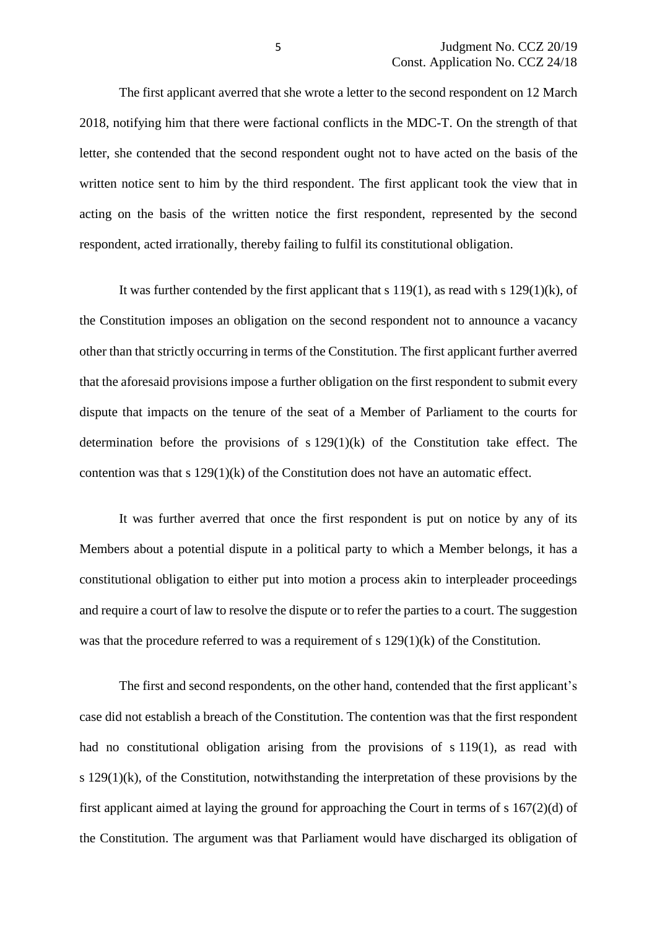The first applicant averred that she wrote a letter to the second respondent on 12 March 2018, notifying him that there were factional conflicts in the MDC-T. On the strength of that letter, she contended that the second respondent ought not to have acted on the basis of the written notice sent to him by the third respondent. The first applicant took the view that in acting on the basis of the written notice the first respondent, represented by the second respondent, acted irrationally, thereby failing to fulfil its constitutional obligation.

It was further contended by the first applicant that s  $119(1)$ , as read with s  $129(1)(k)$ , of the Constitution imposes an obligation on the second respondent not to announce a vacancy other than that strictly occurring in terms of the Constitution. The first applicant further averred that the aforesaid provisions impose a further obligation on the first respondent to submit every dispute that impacts on the tenure of the seat of a Member of Parliament to the courts for determination before the provisions of s 129(1)(k) of the Constitution take effect. The contention was that s  $129(1)(k)$  of the Constitution does not have an automatic effect.

It was further averred that once the first respondent is put on notice by any of its Members about a potential dispute in a political party to which a Member belongs, it has a constitutional obligation to either put into motion a process akin to interpleader proceedings and require a court of law to resolve the dispute or to refer the parties to a court. The suggestion was that the procedure referred to was a requirement of s 129(1)(k) of the Constitution.

The first and second respondents, on the other hand, contended that the first applicant's case did not establish a breach of the Constitution. The contention was that the first respondent had no constitutional obligation arising from the provisions of s 119(1), as read with s  $129(1)(k)$ , of the Constitution, notwithstanding the interpretation of these provisions by the first applicant aimed at laying the ground for approaching the Court in terms of s 167(2)(d) of the Constitution. The argument was that Parliament would have discharged its obligation of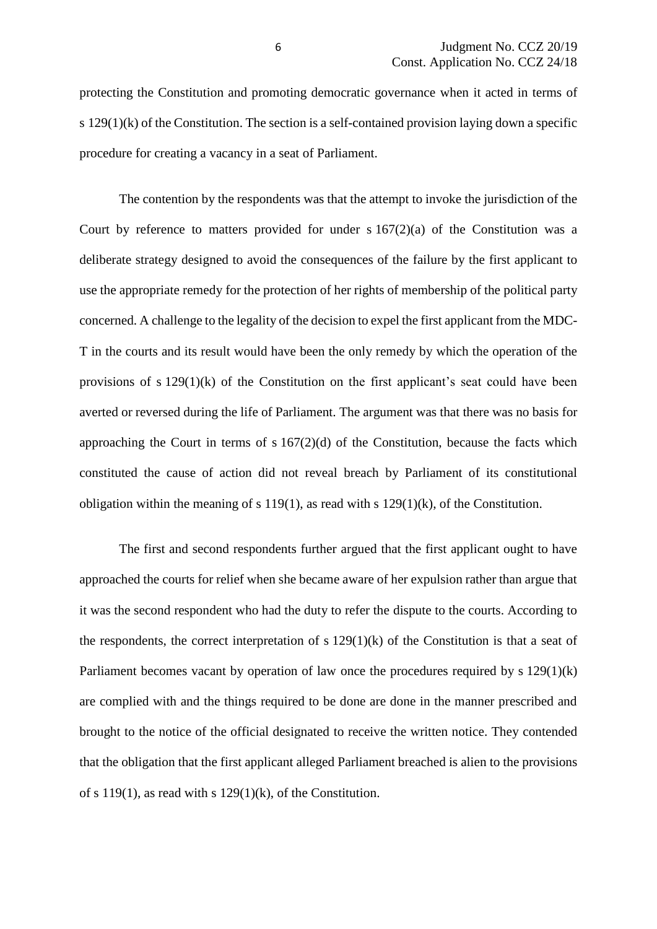protecting the Constitution and promoting democratic governance when it acted in terms of s 129(1)(k) of the Constitution. The section is a self-contained provision laying down a specific procedure for creating a vacancy in a seat of Parliament.

The contention by the respondents was that the attempt to invoke the jurisdiction of the Court by reference to matters provided for under  $s 167(2)(a)$  of the Constitution was a deliberate strategy designed to avoid the consequences of the failure by the first applicant to use the appropriate remedy for the protection of her rights of membership of the political party concerned. A challenge to the legality of the decision to expel the first applicant from the MDC-T in the courts and its result would have been the only remedy by which the operation of the provisions of s 129(1)(k) of the Constitution on the first applicant's seat could have been averted or reversed during the life of Parliament. The argument was that there was no basis for approaching the Court in terms of s  $167(2)(d)$  of the Constitution, because the facts which constituted the cause of action did not reveal breach by Parliament of its constitutional obligation within the meaning of s 119(1), as read with s  $129(1)(k)$ , of the Constitution.

The first and second respondents further argued that the first applicant ought to have approached the courts for relief when she became aware of her expulsion rather than argue that it was the second respondent who had the duty to refer the dispute to the courts. According to the respondents, the correct interpretation of s  $129(1)(k)$  of the Constitution is that a seat of Parliament becomes vacant by operation of law once the procedures required by s  $129(1)(k)$ are complied with and the things required to be done are done in the manner prescribed and brought to the notice of the official designated to receive the written notice. They contended that the obligation that the first applicant alleged Parliament breached is alien to the provisions of s 119(1), as read with s  $129(1)(k)$ , of the Constitution.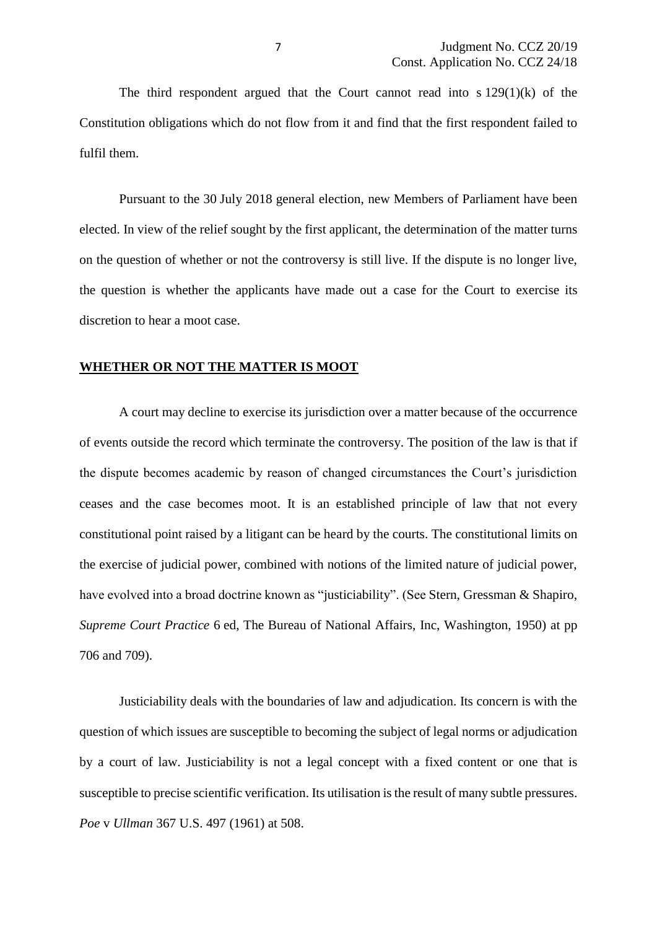The third respondent argued that the Court cannot read into  $s 129(1)(k)$  of the Constitution obligations which do not flow from it and find that the first respondent failed to fulfil them.

Pursuant to the 30 July 2018 general election, new Members of Parliament have been elected. In view of the relief sought by the first applicant, the determination of the matter turns on the question of whether or not the controversy is still live. If the dispute is no longer live, the question is whether the applicants have made out a case for the Court to exercise its discretion to hear a moot case.

#### **WHETHER OR NOT THE MATTER IS MOOT**

A court may decline to exercise its jurisdiction over a matter because of the occurrence of events outside the record which terminate the controversy. The position of the law is that if the dispute becomes academic by reason of changed circumstances the Court's jurisdiction ceases and the case becomes moot. It is an established principle of law that not every constitutional point raised by a litigant can be heard by the courts. The constitutional limits on the exercise of judicial power, combined with notions of the limited nature of judicial power, have evolved into a broad doctrine known as "justiciability". (See Stern, Gressman & Shapiro, *Supreme Court Practice* 6 ed, The Bureau of National Affairs, Inc, Washington, 1950) at pp 706 and 709).

Justiciability deals with the boundaries of law and adjudication. Its concern is with the question of which issues are susceptible to becoming the subject of legal norms or adjudication by a court of law. Justiciability is not a legal concept with a fixed content or one that is susceptible to precise scientific verification. Its utilisation is the result of many subtle pressures. *Poe* v *Ullman* 367 U.S. 497 (1961) at 508.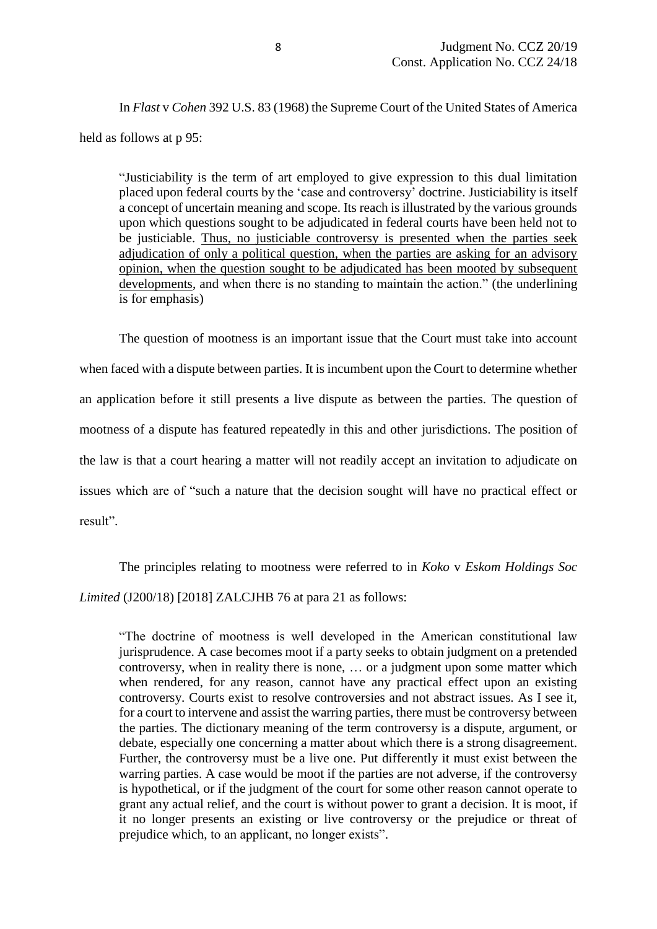In *Flast* v *Cohen* 392 U.S. 83 (1968) the Supreme Court of the United States of America held as follows at p 95:

"Justiciability is the term of art employed to give expression to this dual limitation placed upon federal courts by the 'case and controversy' doctrine. Justiciability is itself a concept of uncertain meaning and scope. Its reach is illustrated by the various grounds upon which questions sought to be adjudicated in federal courts have been held not to be justiciable. Thus, no justiciable controversy is presented when the parties seek adjudication of only a political question, when the parties are asking for an advisory opinion, when the question sought to be adjudicated has been mooted by subsequent developments, and when there is no standing to maintain the action." (the underlining is for emphasis)

The question of mootness is an important issue that the Court must take into account when faced with a dispute between parties. It is incumbent upon the Court to determine whether an application before it still presents a live dispute as between the parties. The question of mootness of a dispute has featured repeatedly in this and other jurisdictions. The position of the law is that a court hearing a matter will not readily accept an invitation to adjudicate on issues which are of "such a nature that the decision sought will have no practical effect or result".

The principles relating to mootness were referred to in *Koko* v *Eskom Holdings Soc Limited* (J200/18) [2018] ZALCJHB 76 at para 21 as follows:

"The doctrine of mootness is well developed in the American constitutional law jurisprudence. A case becomes moot if a party seeks to obtain judgment on a pretended controversy, when in reality there is none, … or a judgment upon some matter which when rendered, for any reason, cannot have any practical effect upon an existing controversy. Courts exist to resolve controversies and not abstract issues. As I see it, for a court to intervene and assist the warring parties, there must be controversy between the parties. The dictionary meaning of the term controversy is a dispute, argument, or debate, especially one concerning a matter about which there is a strong disagreement. Further, the controversy must be a live one. Put differently it must exist between the warring parties. A case would be moot if the parties are not adverse, if the controversy is hypothetical, or if the judgment of the court for some other reason cannot operate to grant any actual relief, and the court is without power to grant a decision. It is moot, if it no longer presents an existing or live controversy or the prejudice or threat of prejudice which, to an applicant, no longer exists".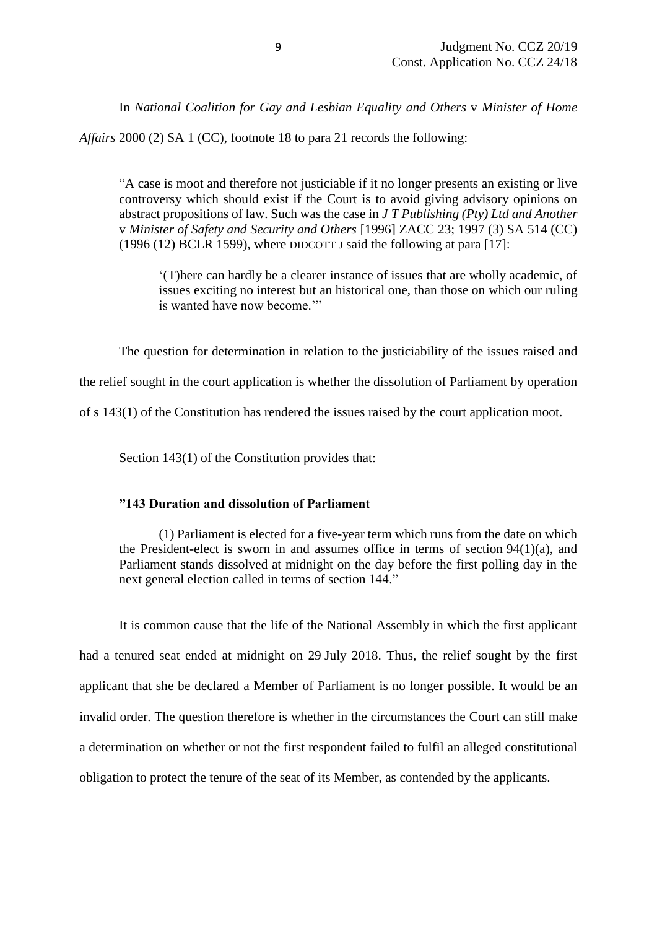In *National Coalition for Gay and Lesbian Equality and Others* v *Minister of Home* 

*Affairs* 2000 (2) SA 1 (CC), footnote 18 to para 21 records the following:

"A case is moot and therefore not justiciable if it no longer presents an existing or live controversy which should exist if the Court is to avoid giving advisory opinions on abstract propositions of law. Such was the case in *J T Publishing (Pty) Ltd and Another* v *Minister of Safety and Security and Others* [1996] ZACC 23; 1997 (3) SA 514 (CC) (1996 (12) BCLR 1599), where DIDCOTT J said the following at para [17]:

'(T)here can hardly be a clearer instance of issues that are wholly academic, of issues exciting no interest but an historical one, than those on which our ruling is wanted have now become.'"

The question for determination in relation to the justiciability of the issues raised and

the relief sought in the court application is whether the dissolution of Parliament by operation

of s 143(1) of the Constitution has rendered the issues raised by the court application moot.

Section 143(1) of the Constitution provides that:

#### **"143 Duration and dissolution of Parliament**

(1) Parliament is elected for a five-year term which runs from the date on which the President-elect is sworn in and assumes office in terms of section 94(1)(a), and Parliament stands dissolved at midnight on the day before the first polling day in the next general election called in terms of section 144."

It is common cause that the life of the National Assembly in which the first applicant had a tenured seat ended at midnight on 29 July 2018. Thus, the relief sought by the first applicant that she be declared a Member of Parliament is no longer possible. It would be an invalid order. The question therefore is whether in the circumstances the Court can still make a determination on whether or not the first respondent failed to fulfil an alleged constitutional obligation to protect the tenure of the seat of its Member, as contended by the applicants.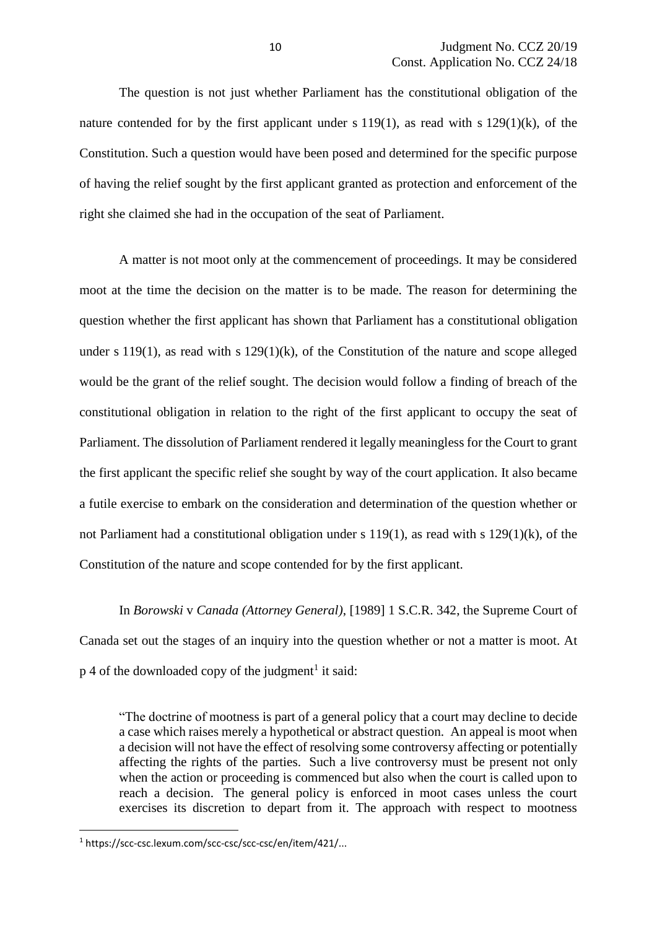The question is not just whether Parliament has the constitutional obligation of the nature contended for by the first applicant under s 119(1), as read with s 129(1)(k), of the Constitution. Such a question would have been posed and determined for the specific purpose of having the relief sought by the first applicant granted as protection and enforcement of the right she claimed she had in the occupation of the seat of Parliament.

A matter is not moot only at the commencement of proceedings. It may be considered moot at the time the decision on the matter is to be made. The reason for determining the question whether the first applicant has shown that Parliament has a constitutional obligation under s 119(1), as read with s  $129(1)(k)$ , of the Constitution of the nature and scope alleged would be the grant of the relief sought. The decision would follow a finding of breach of the constitutional obligation in relation to the right of the first applicant to occupy the seat of Parliament. The dissolution of Parliament rendered it legally meaningless for the Court to grant the first applicant the specific relief she sought by way of the court application. It also became a futile exercise to embark on the consideration and determination of the question whether or not Parliament had a constitutional obligation under s 119(1), as read with s 129(1)(k), of the Constitution of the nature and scope contended for by the first applicant.

In *Borowski* v *Canada (Attorney General)*, [1989] 1 S.C.R. 342, the Supreme Court of Canada set out the stages of an inquiry into the question whether or not a matter is moot. At  $p \nvert 4$  of the downloaded copy of the judgment<sup>1</sup> it said:

"The doctrine of mootness is part of a general policy that a court may decline to decide a case which raises merely a hypothetical or abstract question. An appeal is moot when a decision will not have the effect of resolving some controversy affecting or potentially affecting the rights of the parties. Such a live controversy must be present not only when the action or proceeding is commenced but also when the court is called upon to reach a decision. The general policy is enforced in moot cases unless the court exercises its discretion to depart from it. The approach with respect to mootness

**.** 

<sup>1</sup> https://scc-csc.lexum.com/scc-csc/scc-csc/en/item/421/...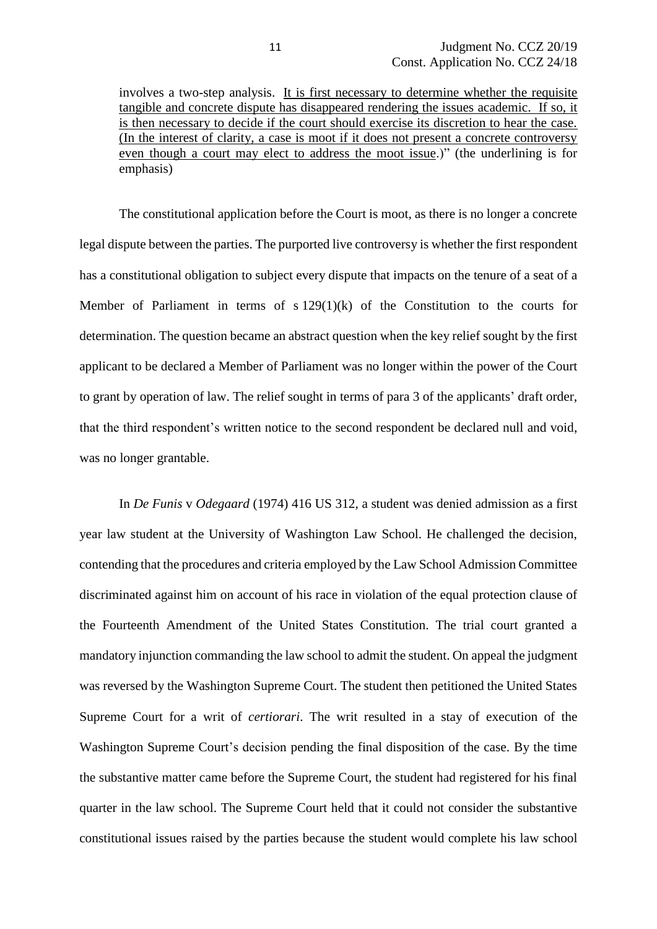involves a two-step analysis. It is first necessary to determine whether the requisite tangible and concrete dispute has disappeared rendering the issues academic. If so, it is then necessary to decide if the court should exercise its discretion to hear the case. (In the interest of clarity, a case is moot if it does not present a concrete controversy even though a court may elect to address the moot issue.)" (the underlining is for emphasis)

The constitutional application before the Court is moot, as there is no longer a concrete legal dispute between the parties. The purported live controversy is whether the first respondent has a constitutional obligation to subject every dispute that impacts on the tenure of a seat of a Member of Parliament in terms of  $s 129(1)(k)$  of the Constitution to the courts for determination. The question became an abstract question when the key relief sought by the first applicant to be declared a Member of Parliament was no longer within the power of the Court to grant by operation of law. The relief sought in terms of para 3 of the applicants' draft order, that the third respondent's written notice to the second respondent be declared null and void, was no longer grantable.

In *De Funis* v *Odegaard* (1974) 416 US 312, a student was denied admission as a first year law student at the University of Washington Law School. He challenged the decision, contending that the procedures and criteria employed by the Law School Admission Committee discriminated against him on account of his race in violation of the equal protection clause of the Fourteenth Amendment of the United States Constitution. The trial court granted a mandatory injunction commanding the law school to admit the student. On appeal the judgment was reversed by the Washington Supreme Court. The student then petitioned the United States Supreme Court for a writ of *certiorari*. The writ resulted in a stay of execution of the Washington Supreme Court's decision pending the final disposition of the case. By the time the substantive matter came before the Supreme Court, the student had registered for his final quarter in the law school. The Supreme Court held that it could not consider the substantive constitutional issues raised by the parties because the student would complete his law school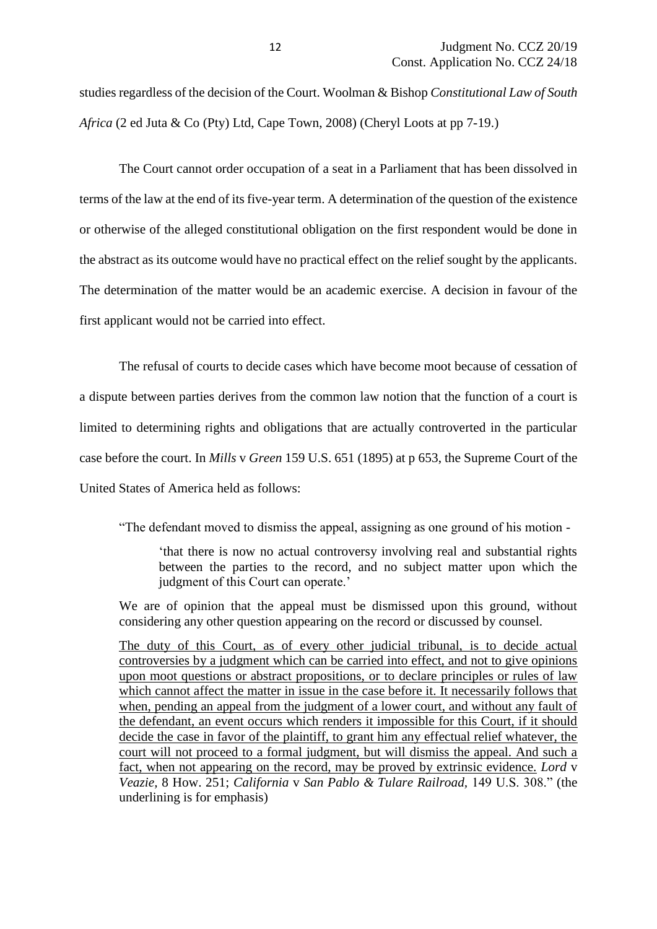studies regardless of the decision of the Court. Woolman & Bishop *Constitutional Law of South Africa* (2 ed Juta & Co (Pty) Ltd, Cape Town, 2008) (Cheryl Loots at pp 7-19.)

The Court cannot order occupation of a seat in a Parliament that has been dissolved in terms of the law at the end of its five-year term. A determination of the question of the existence or otherwise of the alleged constitutional obligation on the first respondent would be done in the abstract as its outcome would have no practical effect on the relief sought by the applicants. The determination of the matter would be an academic exercise. A decision in favour of the first applicant would not be carried into effect.

The refusal of courts to decide cases which have become moot because of cessation of a dispute between parties derives from the common law notion that the function of a court is limited to determining rights and obligations that are actually controverted in the particular case before the court. In *Mills* v *Green* 159 U.S. 651 (1895) at p 653, the Supreme Court of the United States of America held as follows:

"The defendant moved to dismiss the appeal, assigning as one ground of his motion -

'that there is now no actual controversy involving real and substantial rights between the parties to the record, and no subject matter upon which the judgment of this Court can operate.'

We are of opinion that the appeal must be dismissed upon this ground, without considering any other question appearing on the record or discussed by counsel.

The duty of this Court, as of every other judicial tribunal, is to decide actual controversies by a judgment which can be carried into effect, and not to give opinions upon moot questions or abstract propositions, or to declare principles or rules of law which cannot affect the matter in issue in the case before it. It necessarily follows that when, pending an appeal from the judgment of a lower court, and without any fault of the defendant, an event occurs which renders it impossible for this Court, if it should decide the case in favor of the plaintiff, to grant him any effectual relief whatever, the court will not proceed to a formal judgment, but will dismiss the appeal. And such a fact, when not appearing on the record, may be proved by extrinsic evidence. *Lord* v *Veazie,* 8 How. 251; *California* v *San Pablo & Tulare Railroad,* 149 U.S. 308." (the underlining is for emphasis)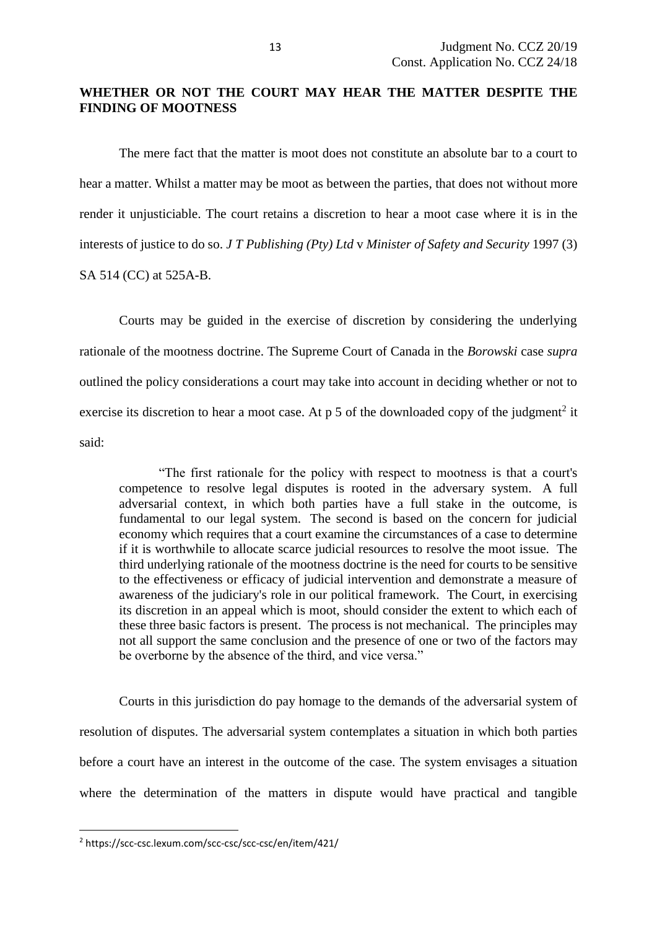## **WHETHER OR NOT THE COURT MAY HEAR THE MATTER DESPITE THE FINDING OF MOOTNESS**

The mere fact that the matter is moot does not constitute an absolute bar to a court to hear a matter. Whilst a matter may be moot as between the parties, that does not without more render it unjusticiable. The court retains a discretion to hear a moot case where it is in the interests of justice to do so. *J T Publishing (Pty) Ltd* v *Minister of Safety and Security* 1997 (3) SA 514 (CC) at 525A-B.

Courts may be guided in the exercise of discretion by considering the underlying rationale of the mootness doctrine. The Supreme Court of Canada in the *Borowski* case *supra* outlined the policy considerations a court may take into account in deciding whether or not to exercise its discretion to hear a moot case. At  $p 5$  of the downloaded copy of the judgment<sup>2</sup> it said:

"The first rationale for the policy with respect to mootness is that a court's competence to resolve legal disputes is rooted in the adversary system. A full adversarial context, in which both parties have a full stake in the outcome, is fundamental to our legal system. The second is based on the concern for judicial economy which requires that a court examine the circumstances of a case to determine if it is worthwhile to allocate scarce judicial resources to resolve the moot issue. The third underlying rationale of the mootness doctrine is the need for courts to be sensitive to the effectiveness or efficacy of judicial intervention and demonstrate a measure of awareness of the judiciary's role in our political framework. The Court, in exercising its discretion in an appeal which is moot, should consider the extent to which each of these three basic factors is present. The process is not mechanical. The principles may not all support the same conclusion and the presence of one or two of the factors may be overborne by the absence of the third, and vice versa."

Courts in this jurisdiction do pay homage to the demands of the adversarial system of resolution of disputes. The adversarial system contemplates a situation in which both parties before a court have an interest in the outcome of the case. The system envisages a situation where the determination of the matters in dispute would have practical and tangible

**.** 

<sup>2</sup> https://scc-csc.lexum.com/scc-csc/scc-csc/en/item/421/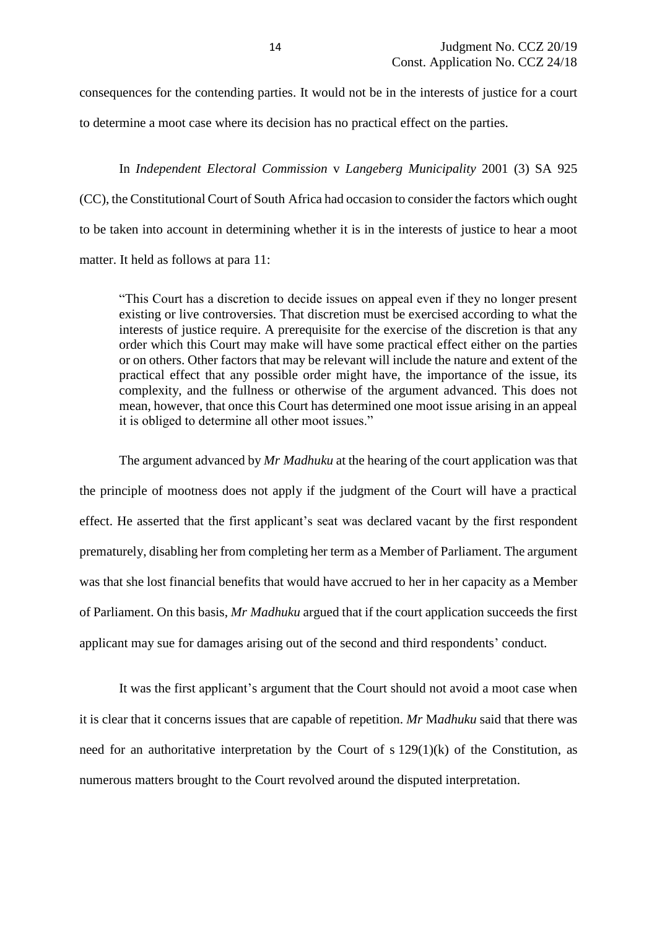consequences for the contending parties. It would not be in the interests of justice for a court to determine a moot case where its decision has no practical effect on the parties.

In *Independent Electoral Commission* v *Langeberg Municipality* 2001 (3) SA 925 (CC), the Constitutional Court of South Africa had occasion to consider the factors which ought to be taken into account in determining whether it is in the interests of justice to hear a moot matter. It held as follows at para 11:

"This Court has a discretion to decide issues on appeal even if they no longer present existing or live controversies. That discretion must be exercised according to what the interests of justice require. A prerequisite for the exercise of the discretion is that any order which this Court may make will have some practical effect either on the parties or on others. Other factors that may be relevant will include the nature and extent of the practical effect that any possible order might have, the importance of the issue, its complexity, and the fullness or otherwise of the argument advanced. This does not mean, however, that once this Court has determined one moot issue arising in an appeal it is obliged to determine all other moot issues."

The argument advanced by *Mr Madhuku* at the hearing of the court application was that the principle of mootness does not apply if the judgment of the Court will have a practical effect. He asserted that the first applicant's seat was declared vacant by the first respondent prematurely, disabling her from completing her term as a Member of Parliament. The argument was that she lost financial benefits that would have accrued to her in her capacity as a Member of Parliament. On this basis, *Mr Madhuku* argued that if the court application succeeds the first applicant may sue for damages arising out of the second and third respondents' conduct.

It was the first applicant's argument that the Court should not avoid a moot case when it is clear that it concerns issues that are capable of repetition. *Mr* M*adhuku* said that there was need for an authoritative interpretation by the Court of  $s 129(1)(k)$  of the Constitution, as numerous matters brought to the Court revolved around the disputed interpretation.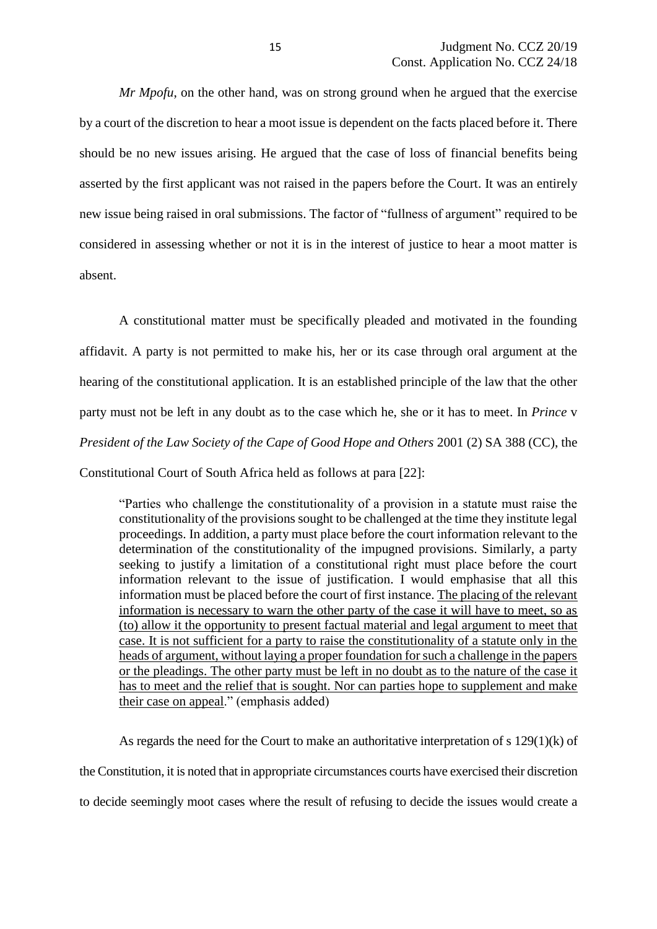*Mr Mpofu*, on the other hand, was on strong ground when he argued that the exercise by a court of the discretion to hear a moot issue is dependent on the facts placed before it. There should be no new issues arising. He argued that the case of loss of financial benefits being asserted by the first applicant was not raised in the papers before the Court. It was an entirely new issue being raised in oral submissions. The factor of "fullness of argument" required to be considered in assessing whether or not it is in the interest of justice to hear a moot matter is absent.

A constitutional matter must be specifically pleaded and motivated in the founding affidavit. A party is not permitted to make his, her or its case through oral argument at the hearing of the constitutional application. It is an established principle of the law that the other party must not be left in any doubt as to the case which he, she or it has to meet. In *Prince* v *President of the Law Society of the Cape of Good Hope and Others* 2001 (2) SA 388 (CC), the Constitutional Court of South Africa held as follows at para [22]:

"Parties who challenge the constitutionality of a provision in a statute must raise the constitutionality of the provisions sought to be challenged at the time they institute legal proceedings. In addition, a party must place before the court information relevant to the determination of the constitutionality of the impugned provisions. Similarly, a party seeking to justify a limitation of a constitutional right must place before the court information relevant to the issue of justification. I would emphasise that all this information must be placed before the court of first instance. The placing of the relevant information is necessary to warn the other party of the case it will have to meet, so as (to) allow it the opportunity to present factual material and legal argument to meet that case. It is not sufficient for a party to raise the constitutionality of a statute only in the heads of argument, without laying a proper foundation for such a challenge in the papers or the pleadings. The other party must be left in no doubt as to the nature of the case it has to meet and the relief that is sought. Nor can parties hope to supplement and make their case on appeal." (emphasis added)

As regards the need for the Court to make an authoritative interpretation of s 129(1)(k) of the Constitution, it is noted that in appropriate circumstances courts have exercised their discretion to decide seemingly moot cases where the result of refusing to decide the issues would create a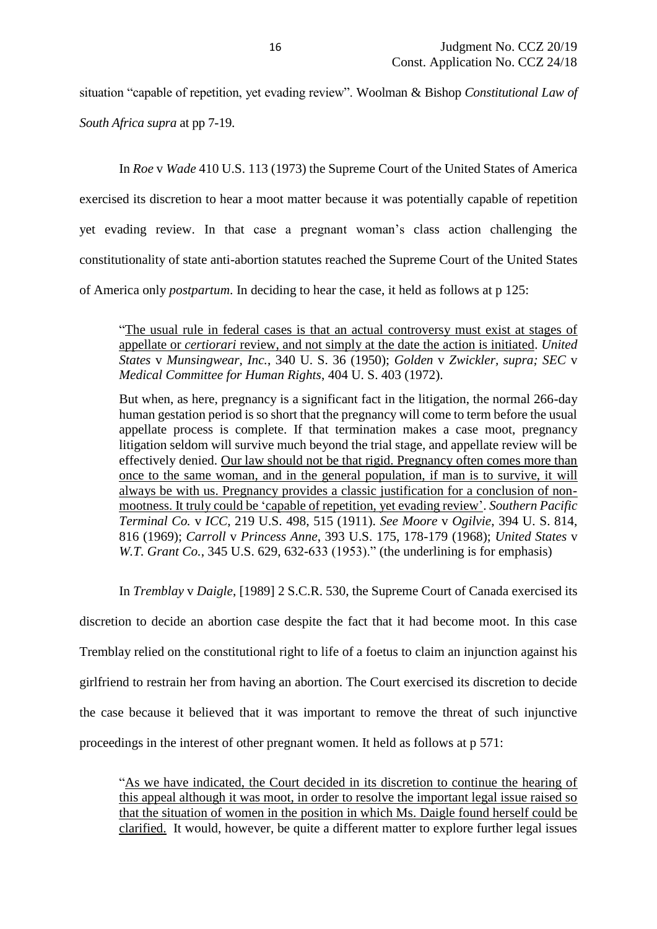situation "capable of repetition, yet evading review". Woolman & Bishop *Constitutional Law of* 

*South Africa supra* at pp 7-19.

In *Roe* v *Wade* 410 U.S. 113 (1973) the Supreme Court of the United States of America exercised its discretion to hear a moot matter because it was potentially capable of repetition yet evading review. In that case a pregnant woman's class action challenging the constitutionality of state anti-abortion statutes reached the Supreme Court of the United States of America only *postpartum*. In deciding to hear the case, it held as follows at p 125:

"The usual rule in federal cases is that an actual controversy must exist at stages of appellate or *certiorari* review, and not simply at the date the action is initiated. *United States* v *Munsingwear, Inc.*, 340 U. S. 36 (1950); *Golden* v *Zwickler, supra; SEC* v *Medical Committee for Human Rights*, 404 U. S. 403 (1972).

But when, as here, pregnancy is a significant fact in the litigation, the normal 266-day human gestation period is so short that the pregnancy will come to term before the usual appellate process is complete. If that termination makes a case moot, pregnancy litigation seldom will survive much beyond the trial stage, and appellate review will be effectively denied. Our law should not be that rigid. Pregnancy often comes more than once to the same woman, and in the general population, if man is to survive, it will always be with us. Pregnancy provides a classic justification for a conclusion of nonmootness. It truly could be 'capable of repetition, yet evading review'. *Southern Pacific Terminal Co.* v *ICC*, 219 U.S. 498, 515 (1911). *See Moore* v *Ogilvie*, 394 U. S. 814, 816 (1969); *Carroll* v *Princess Anne*, 393 U.S. 175, 178-179 (1968); *United States* v *W.T. Grant Co.*, 345 U.S. 629, 632-633 (1953)." (the underlining is for emphasis)

In *Tremblay* v *Daigle*, [1989] 2 S.C.R. 530, the Supreme Court of Canada exercised its

discretion to decide an abortion case despite the fact that it had become moot. In this case Tremblay relied on the constitutional right to life of a foetus to claim an injunction against his girlfriend to restrain her from having an abortion. The Court exercised its discretion to decide the case because it believed that it was important to remove the threat of such injunctive proceedings in the interest of other pregnant women. It held as follows at p 571:

"As we have indicated, the Court decided in its discretion to continue the hearing of this appeal although it was moot, in order to resolve the important legal issue raised so that the situation of women in the position in which Ms. Daigle found herself could be clarified. It would, however, be quite a different matter to explore further legal issues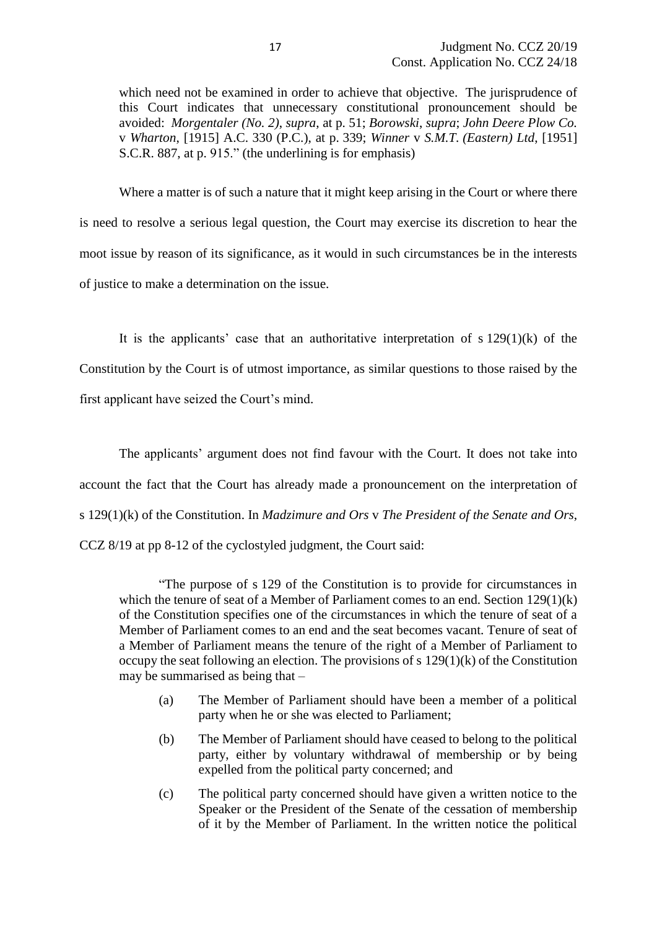which need not be examined in order to achieve that objective. The jurisprudence of this Court indicates that unnecessary constitutional pronouncement should be avoided: *Morgentaler (No. 2)*, *supra*, at p. 51; *Borowski*, *supra*; *John Deere Plow Co.* v *Wharton*, [1915] A.C. 330 (P.C.), at p. 339; *Winner* v *S.M.T. (Eastern) Ltd*, [1951] S.C.R. 887, at p. 915." (the underlining is for emphasis)

Where a matter is of such a nature that it might keep arising in the Court or where there is need to resolve a serious legal question, the Court may exercise its discretion to hear the moot issue by reason of its significance, as it would in such circumstances be in the interests of justice to make a determination on the issue.

It is the applicants' case that an authoritative interpretation of  $s 129(1)(k)$  of the Constitution by the Court is of utmost importance, as similar questions to those raised by the first applicant have seized the Court's mind.

The applicants' argument does not find favour with the Court. It does not take into account the fact that the Court has already made a pronouncement on the interpretation of s 129(1)(k) of the Constitution. In *Madzimure and Ors* v *The President of the Senate and Ors*, CCZ 8/19 at pp 8-12 of the cyclostyled judgment, the Court said:

"The purpose of s 129 of the Constitution is to provide for circumstances in which the tenure of seat of a Member of Parliament comes to an end. Section 129(1)(k) of the Constitution specifies one of the circumstances in which the tenure of seat of a Member of Parliament comes to an end and the seat becomes vacant. Tenure of seat of a Member of Parliament means the tenure of the right of a Member of Parliament to occupy the seat following an election. The provisions of s 129(1)(k) of the Constitution may be summarised as being that –

- (a) The Member of Parliament should have been a member of a political party when he or she was elected to Parliament;
- (b) The Member of Parliament should have ceased to belong to the political party, either by voluntary withdrawal of membership or by being expelled from the political party concerned; and
- (c) The political party concerned should have given a written notice to the Speaker or the President of the Senate of the cessation of membership of it by the Member of Parliament. In the written notice the political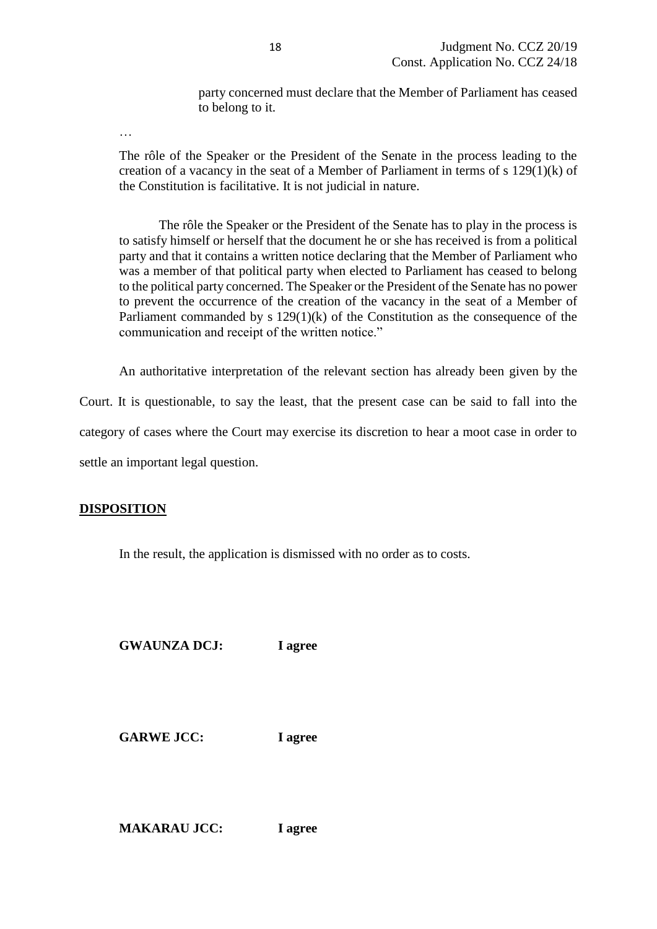party concerned must declare that the Member of Parliament has ceased to belong to it.

…

The rôle of the Speaker or the President of the Senate in the process leading to the creation of a vacancy in the seat of a Member of Parliament in terms of s 129(1)(k) of the Constitution is facilitative. It is not judicial in nature.

The rôle the Speaker or the President of the Senate has to play in the process is to satisfy himself or herself that the document he or she has received is from a political party and that it contains a written notice declaring that the Member of Parliament who was a member of that political party when elected to Parliament has ceased to belong to the political party concerned. The Speaker or the President of the Senate has no power to prevent the occurrence of the creation of the vacancy in the seat of a Member of Parliament commanded by s 129(1)(k) of the Constitution as the consequence of the communication and receipt of the written notice."

An authoritative interpretation of the relevant section has already been given by the

Court. It is questionable, to say the least, that the present case can be said to fall into the

category of cases where the Court may exercise its discretion to hear a moot case in order to

settle an important legal question.

## **DISPOSITION**

In the result, the application is dismissed with no order as to costs.

**GWAUNZA DCJ: I agree**

**GARWE JCC: I agree**

**MAKARAU JCC: I agree**